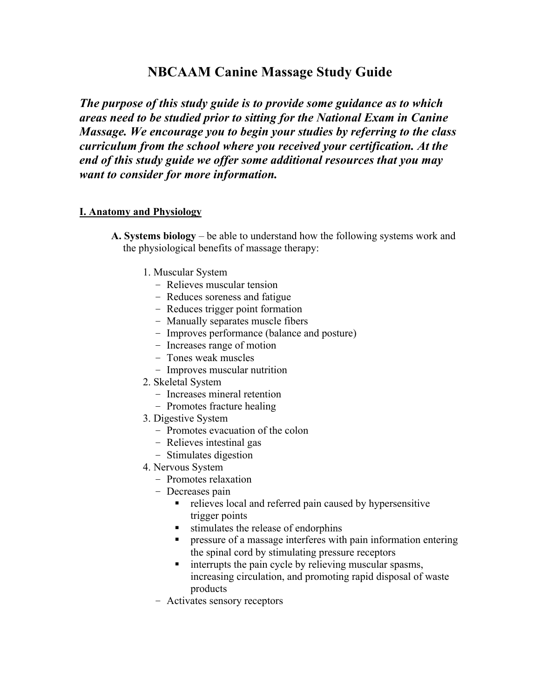# **NBCAAM Canine Massage Study Guide**

*The purpose of this study guide is to provide some guidance as to which areas need to be studied prior to sitting for the National Exam in Canine Massage. We encourage you to begin your studies by referring to the class curriculum from the school where you received your certification. At the end of this study guide we offer some additional resources that you may want to consider for more information.*

## **I. Anatomy and Physiology**

- **A. Systems biology** be able to understand how the following systems work and the physiological benefits of massage therapy:
	- 1. Muscular System
		- Relieves muscular tension
		- Reduces soreness and fatigue
		- Reduces trigger point formation
		- Manually separates muscle fibers
		- Improves performance (balance and posture)
		- Increases range of motion
		- Tones weak muscles
		- Improves muscular nutrition
	- 2. Skeletal System
		- Increases mineral retention
		- Promotes fracture healing
	- 3. Digestive System
		- Promotes evacuation of the colon
		- Relieves intestinal gas
		- Stimulates digestion
	- 4. Nervous System
		- Promotes relaxation
		- Decreases pain
			- relieves local and referred pain caused by hypersensitive trigger points
			- $\blacksquare$  stimulates the release of endorphins
			- **PERICIST:** pressure of a massage interferes with pain information entering the spinal cord by stimulating pressure receptors
			- **Example 1** interrupts the pain cycle by relieving muscular spasms, increasing circulation, and promoting rapid disposal of waste products
		- Activates sensory receptors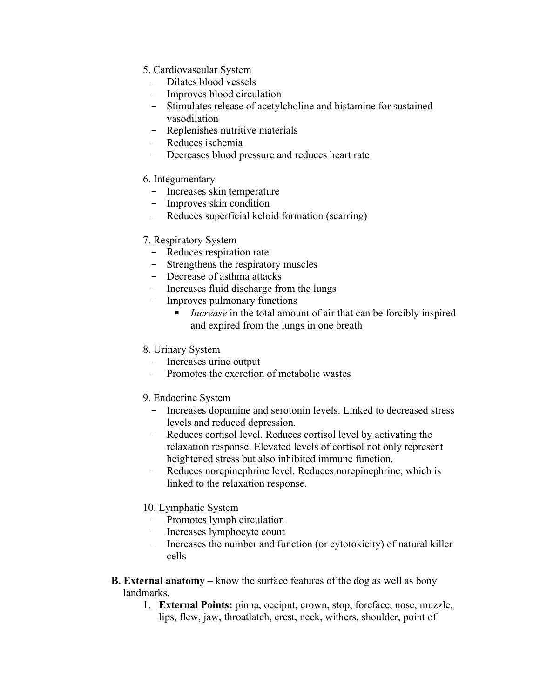- 5. Cardiovascular System
	- Dilates blood vessels
	- Improves blood circulation
	- Stimulates release of acetylcholine and histamine for sustained vasodilation
	- Replenishes nutritive materials
	- Reduces ischemia
	- Decreases blood pressure and reduces heart rate

## 6. Integumentary

- Increases skin temperature
- Improves skin condition
- Reduces superficial keloid formation (scarring)

## 7. Respiratory System

- Reduces respiration rate
- Strengthens the respiratory muscles
- Decrease of asthma attacks
- Increases fluid discharge from the lungs
- Improves pulmonary functions
	- *Increase* in the total amount of air that can be forcibly inspired and expired from the lungs in one breath

## 8. Urinary System

- Increases urine output
- Promotes the excretion of metabolic wastes

## 9. Endocrine System

- Increases dopamine and serotonin levels. Linked to decreased stress levels and reduced depression.
- Reduces cortisol level. Reduces cortisol level by activating the relaxation response. Elevated levels of cortisol not only represent heightened stress but also inhibited immune function.
- Reduces norepinephrine level. Reduces norepinephrine, which is linked to the relaxation response.

## 10. Lymphatic System

- Promotes lymph circulation
- Increases lymphocyte count
- Increases the number and function (or cytotoxicity) of natural killer cells
- **B. External anatomy** know the surface features of the dog as well as bony landmarks.
	- 1. **External Points:** pinna, occiput, crown, stop, foreface, nose, muzzle, lips, flew, jaw, throatlatch, crest, neck, withers, shoulder, point of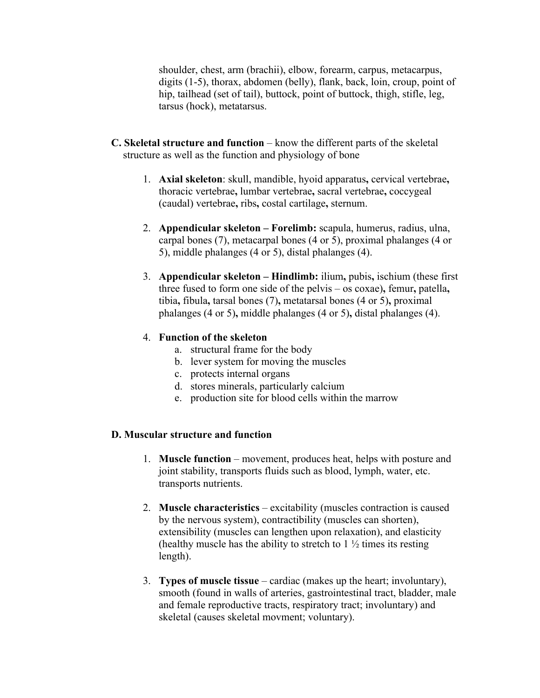shoulder, chest, arm (brachii), elbow, forearm, carpus, metacarpus, digits (1-5), thorax, abdomen (belly), flank, back, loin, croup, point of hip, tailhead (set of tail), buttock, point of buttock, thigh, stifle, leg, tarsus (hock), metatarsus.

- **C. Skeletal structure and function** know the different parts of the skeletal structure as well as the function and physiology of bone
	- 1. **Axial skeleton**: skull, mandible, hyoid apparatus**,** cervical vertebrae**,**  thoracic vertebrae**,** lumbar vertebrae**,** sacral vertebrae**,** coccygeal (caudal) vertebrae**,** ribs**,** costal cartilage**,** sternum.
	- 2. **Appendicular skeleton Forelimb:** scapula, humerus, radius, ulna, carpal bones (7), metacarpal bones (4 or 5), proximal phalanges (4 or 5), middle phalanges (4 or 5), distal phalanges (4).
	- 3. **Appendicular skeleton Hindlimb:** ilium**,** pubis**,** ischium (these first three fused to form one side of the pelvis – os coxae)**,** femur**,** patella**,**  tibia**,** fibula**,** tarsal bones (7)**,** metatarsal bones (4 or 5)**,** proximal phalanges (4 or 5)**,** middle phalanges (4 or 5)**,** distal phalanges (4).

## 4. **Function of the skeleton**

- a. structural frame for the body
- b. lever system for moving the muscles
- c. protects internal organs
- d. stores minerals, particularly calcium
- e. production site for blood cells within the marrow

## **D. Muscular structure and function**

- 1. **Muscle function** movement, produces heat, helps with posture and joint stability, transports fluids such as blood, lymph, water, etc. transports nutrients.
- 2. **Muscle characteristics** excitability (muscles contraction is caused by the nervous system), contractibility (muscles can shorten), extensibility (muscles can lengthen upon relaxation), and elasticity (healthy muscle has the ability to stretch to  $1\frac{1}{2}$  times its resting length).
- 3. **Types of muscle tissue** cardiac (makes up the heart; involuntary), smooth (found in walls of arteries, gastrointestinal tract, bladder, male and female reproductive tracts, respiratory tract; involuntary) and skeletal (causes skeletal movment; voluntary).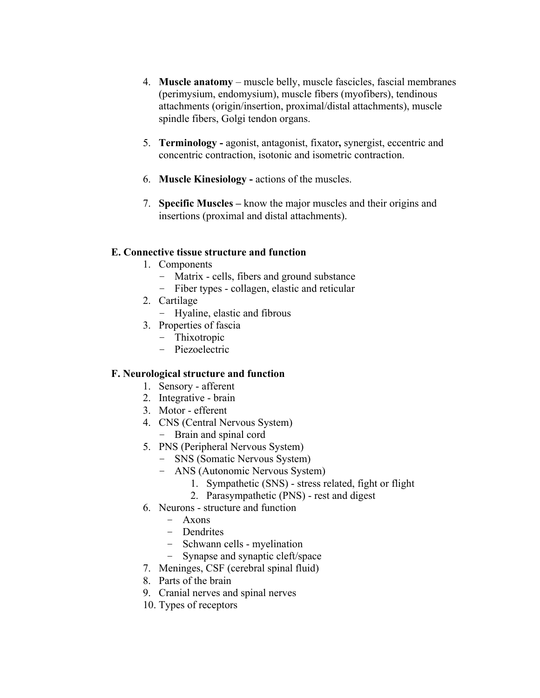- 4. **Muscle anatomy** muscle belly, muscle fascicles, fascial membranes (perimysium, endomysium), muscle fibers (myofibers), tendinous attachments (origin/insertion, proximal/distal attachments), muscle spindle fibers, Golgi tendon organs.
- 5. **Terminology -** agonist, antagonist, fixator**,** synergist, eccentric and concentric contraction, isotonic and isometric contraction.
- 6. **Muscle Kinesiology -** actions of the muscles.
- 7. **Specific Muscles –** know the major muscles and their origins and insertions (proximal and distal attachments).

# **E. Connective tissue structure and function**

- 1. Components
	- Matrix cells, fibers and ground substance
	- Fiber types collagen, elastic and reticular
- 2. Cartilage
	- Hyaline, elastic and fibrous
- 3. Properties of fascia
	- Thixotropic
	- Piezoelectric

# **F. Neurological structure and function**

- 1. Sensory afferent
- 2. Integrative brain
- 3. Motor efferent
- 4. CNS (Central Nervous System)
	- Brain and spinal cord
- 5. PNS (Peripheral Nervous System)
	- SNS (Somatic Nervous System)
	- ANS (Autonomic Nervous System)
		- 1. Sympathetic (SNS) stress related, fight or flight
		- 2. Parasympathetic (PNS) rest and digest
- 6. Neurons structure and function
	- Axons
	- Dendrites
	- Schwann cells myelination
	- Synapse and synaptic cleft/space
- 7. Meninges, CSF (cerebral spinal fluid)
- 8. Parts of the brain
- 9. Cranial nerves and spinal nerves
- 10. Types of receptors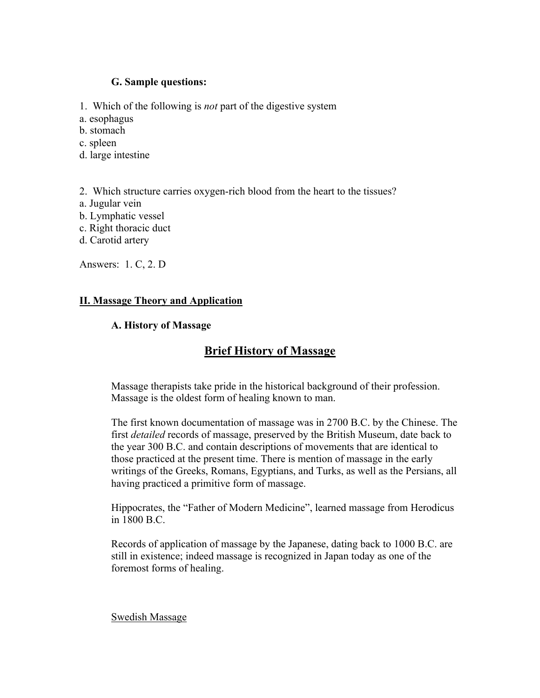## **G. Sample questions:**

1. Which of the following is *not* part of the digestive system

a. esophagus

b. stomach

c. spleen

d. large intestine

2. Which structure carries oxygen-rich blood from the heart to the tissues?

- a. Jugular vein
- b. Lymphatic vessel
- c. Right thoracic duct
- d. Carotid artery

Answers: 1. C, 2. D

# **II. Massage Theory and Application**

# **A. History of Massage**

# **Brief History of Massage**

Massage therapists take pride in the historical background of their profession. Massage is the oldest form of healing known to man.

The first known documentation of massage was in 2700 B.C. by the Chinese. The first *detailed* records of massage, preserved by the British Museum, date back to the year 300 B.C. and contain descriptions of movements that are identical to those practiced at the present time. There is mention of massage in the early writings of the Greeks, Romans, Egyptians, and Turks, as well as the Persians, all having practiced a primitive form of massage.

Hippocrates, the "Father of Modern Medicine", learned massage from Herodicus in 1800 B.C.

Records of application of massage by the Japanese, dating back to 1000 B.C. are still in existence; indeed massage is recognized in Japan today as one of the foremost forms of healing.

Swedish Massage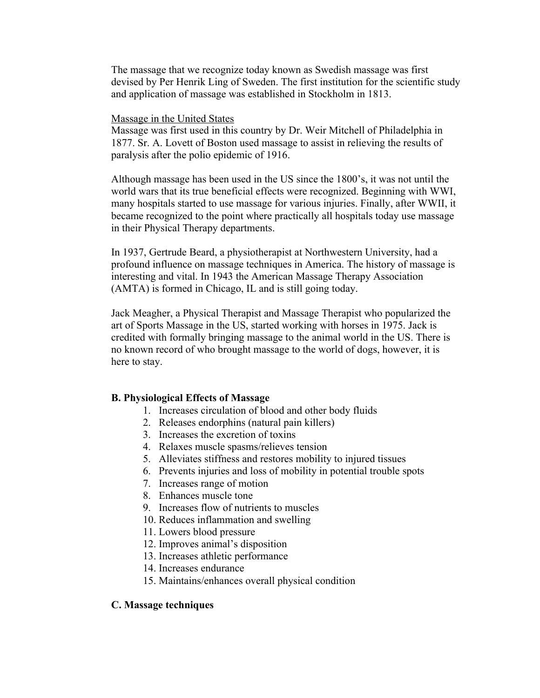The massage that we recognize today known as Swedish massage was first devised by Per Henrik Ling of Sweden. The first institution for the scientific study and application of massage was established in Stockholm in 1813.

### Massage in the United States

Massage was first used in this country by Dr. Weir Mitchell of Philadelphia in 1877. Sr. A. Lovett of Boston used massage to assist in relieving the results of paralysis after the polio epidemic of 1916.

Although massage has been used in the US since the 1800's, it was not until the world wars that its true beneficial effects were recognized. Beginning with WWI, many hospitals started to use massage for various injuries. Finally, after WWII, it became recognized to the point where practically all hospitals today use massage in their Physical Therapy departments.

In 1937, Gertrude Beard, a physiotherapist at Northwestern University, had a profound influence on massage techniques in America. The history of massage is interesting and vital. In 1943 the American Massage Therapy Association (AMTA) is formed in Chicago, IL and is still going today.

Jack Meagher, a Physical Therapist and Massage Therapist who popularized the art of Sports Massage in the US, started working with horses in 1975. Jack is credited with formally bringing massage to the animal world in the US. There is no known record of who brought massage to the world of dogs, however, it is here to stay.

#### **B. Physiological Effects of Massage**

- 1. Increases circulation of blood and other body fluids
- 2. Releases endorphins (natural pain killers)
- 3. Increases the excretion of toxins
- 4. Relaxes muscle spasms/relieves tension
- 5. Alleviates stiffness and restores mobility to injured tissues
- 6. Prevents injuries and loss of mobility in potential trouble spots
- 7. Increases range of motion
- 8. Enhances muscle tone
- 9. Increases flow of nutrients to muscles
- 10. Reduces inflammation and swelling
- 11. Lowers blood pressure
- 12. Improves animal's disposition
- 13. Increases athletic performance
- 14. Increases endurance
- 15. Maintains/enhances overall physical condition

#### **C. Massage techniques**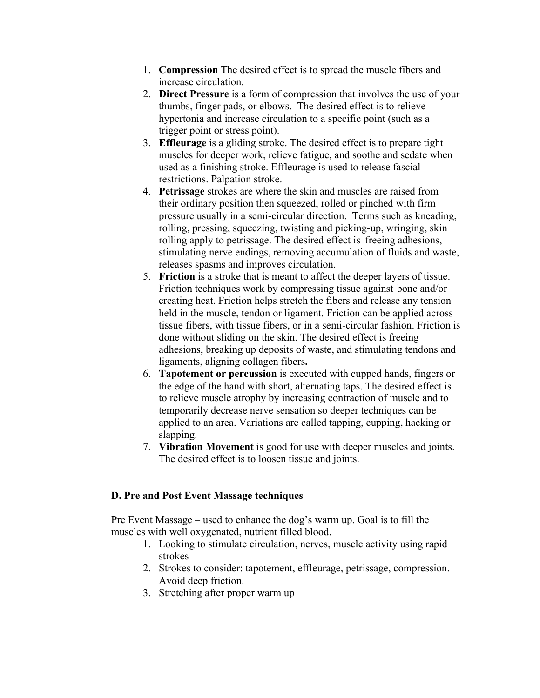- 1. **Compression** The desired effect is to spread the muscle fibers and increase circulation.
- 2. **Direct Pressure** is a form of compression that involves the use of your thumbs, finger pads, or elbows. The desired effect is to relieve hypertonia and increase circulation to a specific point (such as a trigger point or stress point).
- 3. **Effleurage** is a gliding stroke. The desired effect is to prepare tight muscles for deeper work, relieve fatigue, and soothe and sedate when used as a finishing stroke. Effleurage is used to release fascial restrictions. Palpation stroke.
- 4. **Petrissage** strokes are where the skin and muscles are raised from their ordinary position then squeezed, rolled or pinched with firm pressure usually in a semi-circular direction. Terms such as kneading, rolling, pressing, squeezing, twisting and picking-up, wringing, skin rolling apply to petrissage. The desired effect is freeing adhesions, stimulating nerve endings, removing accumulation of fluids and waste, releases spasms and improves circulation.
- 5. **Friction** is a stroke that is meant to affect the deeper layers of tissue. Friction techniques work by compressing tissue against bone and/or creating heat. Friction helps stretch the fibers and release any tension held in the muscle, tendon or ligament. Friction can be applied across tissue fibers, with tissue fibers, or in a semi-circular fashion. Friction is done without sliding on the skin. The desired effect is freeing adhesions, breaking up deposits of waste, and stimulating tendons and ligaments, aligning collagen fibers**.**
- 6. **Tapotement or percussion** is executed with cupped hands, fingers or the edge of the hand with short, alternating taps. The desired effect is to relieve muscle atrophy by increasing contraction of muscle and to temporarily decrease nerve sensation so deeper techniques can be applied to an area. Variations are called tapping, cupping, hacking or slapping.
- 7. **Vibration Movement** is good for use with deeper muscles and joints. The desired effect is to loosen tissue and joints.

# **D. Pre and Post Event Massage techniques**

Pre Event Massage – used to enhance the dog's warm up. Goal is to fill the muscles with well oxygenated, nutrient filled blood.

- 1. Looking to stimulate circulation, nerves, muscle activity using rapid strokes
- 2. Strokes to consider: tapotement, effleurage, petrissage, compression. Avoid deep friction.
- 3. Stretching after proper warm up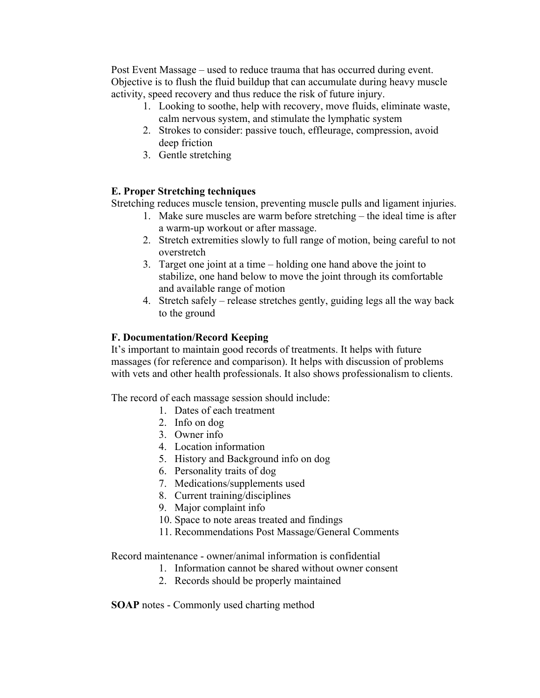Post Event Massage – used to reduce trauma that has occurred during event. Objective is to flush the fluid buildup that can accumulate during heavy muscle activity, speed recovery and thus reduce the risk of future injury.

- 1. Looking to soothe, help with recovery, move fluids, eliminate waste, calm nervous system, and stimulate the lymphatic system
- 2. Strokes to consider: passive touch, effleurage, compression, avoid deep friction
- 3. Gentle stretching

# **E. Proper Stretching techniques**

Stretching reduces muscle tension, preventing muscle pulls and ligament injuries.

- 1. Make sure muscles are warm before stretching the ideal time is after a warm-up workout or after massage.
- 2. Stretch extremities slowly to full range of motion, being careful to not overstretch
- 3. Target one joint at a time holding one hand above the joint to stabilize, one hand below to move the joint through its comfortable and available range of motion
- 4. Stretch safely release stretches gently, guiding legs all the way back to the ground

# **F. Documentation/Record Keeping**

It's important to maintain good records of treatments. It helps with future massages (for reference and comparison). It helps with discussion of problems with vets and other health professionals. It also shows professionalism to clients.

The record of each massage session should include:

- 1. Dates of each treatment
- 2. Info on dog
- 3. Owner info
- 4. Location information
- 5. History and Background info on dog
- 6. Personality traits of dog
- 7. Medications/supplements used
- 8. Current training/disciplines
- 9. Major complaint info
- 10. Space to note areas treated and findings
- 11. Recommendations Post Massage/General Comments

Record maintenance - owner/animal information is confidential

- 1. Information cannot be shared without owner consent
- 2. Records should be properly maintained

**SOAP** notes - Commonly used charting method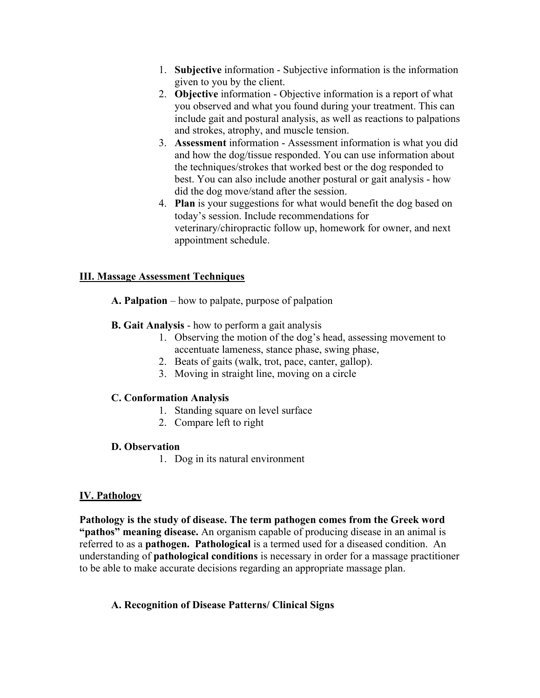- 1. **Subjective** information Subjective information is the information given to you by the client.
- 2. **Objective** information Objective information is a report of what you observed and what you found during your treatment. This can include gait and postural analysis, as well as reactions to palpations and strokes, atrophy, and muscle tension.
- 3. **Assessment** information Assessment information is what you did and how the dog/tissue responded. You can use information about the techniques/strokes that worked best or the dog responded to best. You can also include another postural or gait analysis - how did the dog move/stand after the session.
- 4. **Plan** is your suggestions for what would benefit the dog based on today's session. Include recommendations for veterinary/chiropractic follow up, homework for owner, and next appointment schedule.

# **III. Massage Assessment Techniques**

- **A. Palpation** how to palpate, purpose of palpation
- **B. Gait Analysis** how to perform a gait analysis
	- 1. Observing the motion of the dog's head, assessing movement to accentuate lameness, stance phase, swing phase,
	- 2. Beats of gaits (walk, trot, pace, canter, gallop).
	- 3. Moving in straight line, moving on a circle

## **C. Conformation Analysis**

- 1. Standing square on level surface
- 2. Compare left to right

## **D. Observation**

1. Dog in its natural environment

# **IV. Pathology**

**Pathology is the study of disease. The term pathogen comes from the Greek word "pathos" meaning disease.** An organism capable of producing disease in an animal is referred to as a **pathogen. Pathological** is a termed used for a diseased condition. An understanding of **pathological conditions** is necessary in order for a massage practitioner to be able to make accurate decisions regarding an appropriate massage plan.

# **A. Recognition of Disease Patterns/ Clinical Signs**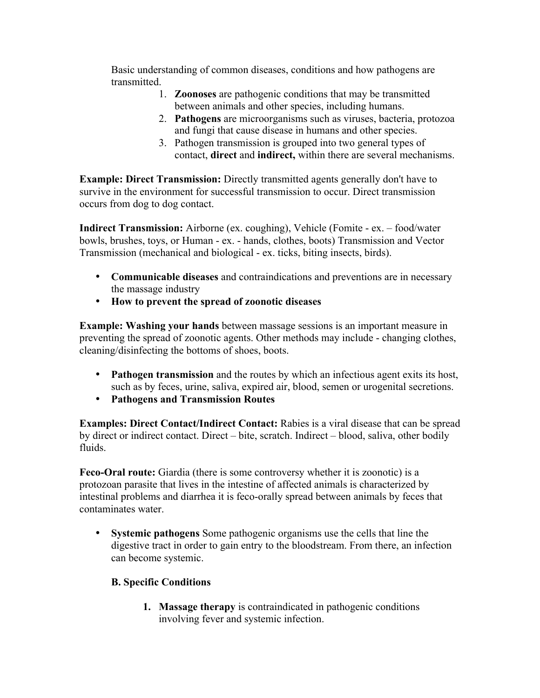Basic understanding of common diseases, conditions and how pathogens are transmitted.

- 1. **Zoonoses** are pathogenic conditions that may be transmitted between animals and other species, including humans.
- 2. **Pathogens** are microorganisms such as viruses, bacteria, protozoa and fungi that cause disease in humans and other species.
- 3. Pathogen transmission is grouped into two general types of contact, **direct** and **indirect,** within there are several mechanisms.

**Example: Direct Transmission:** Directly transmitted agents generally don't have to survive in the environment for successful transmission to occur. Direct transmission occurs from dog to dog contact.

**Indirect Transmission:** Airborne (ex. coughing), Vehicle (Fomite - ex. – food/water bowls, brushes, toys, or Human - ex. - hands, clothes, boots) Transmission and Vector Transmission (mechanical and biological - ex. ticks, biting insects, birds).

- **Communicable diseases** and contraindications and preventions are in necessary the massage industry
- **How to prevent the spread of zoonotic diseases**

**Example: Washing your hands** between massage sessions is an important measure in preventing the spread of zoonotic agents. Other methods may include - changing clothes, cleaning/disinfecting the bottoms of shoes, boots.

- **Pathogen transmission** and the routes by which an infectious agent exits its host, such as by feces, urine, saliva, expired air, blood, semen or urogenital secretions.
- **Pathogens and Transmission Routes**

**Examples: Direct Contact/Indirect Contact:** Rabies is a viral disease that can be spread by direct or indirect contact. Direct – bite, scratch. Indirect – blood, saliva, other bodily fluids.

**Feco-Oral route:** Giardia (there is some controversy whether it is zoonotic) is a protozoan parasite that lives in the intestine of affected animals is characterized by intestinal problems and diarrhea it is feco-orally spread between animals by feces that contaminates water.

• **Systemic pathogens** Some pathogenic organisms use the cells that line the digestive tract in order to gain entry to the bloodstream. From there, an infection can become systemic.

# **B. Specific Conditions**

**1. Massage therapy** is contraindicated in pathogenic conditions involving fever and systemic infection.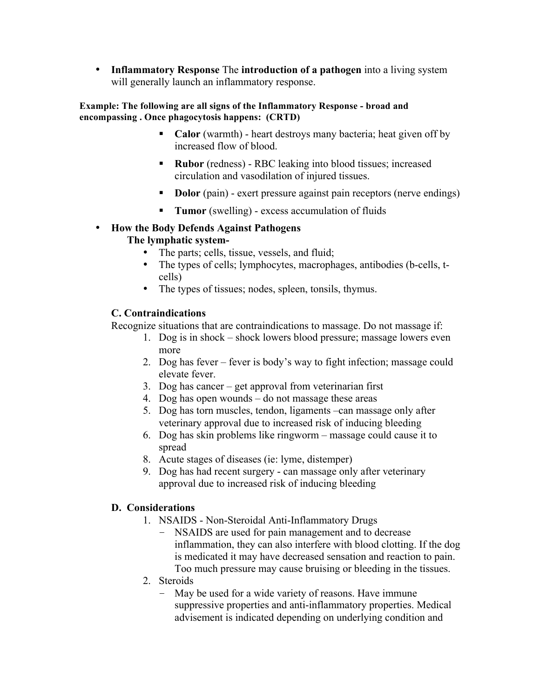• **Inflammatory Response** The **introduction of a pathogen** into a living system will generally launch an inflammatory response.

## **Example: The following are all signs of the Inflammatory Response - broad and encompassing . Once phagocytosis happens: (CRTD)**

- **Calor** (warmth) heart destroys many bacteria; heat given off by increased flow of blood.
- **Rubor** (redness) RBC leaking into blood tissues; increased circulation and vasodilation of injured tissues.
- **Dolor** (pain) exert pressure against pain receptors (nerve endings)
- **Tumor** (swelling) excess accumulation of fluids

## • **How the Body Defends Against Pathogens The lymphatic system-**

- The parts; cells, tissue, vessels, and fluid;
- The types of cells; lymphocytes, macrophages, antibodies (b-cells, tcells)
- The types of tissues; nodes, spleen, tonsils, thymus.

# **C. Contraindications**

Recognize situations that are contraindications to massage. Do not massage if:

- 1. Dog is in shock shock lowers blood pressure; massage lowers even more
- 2. Dog has fever fever is body's way to fight infection; massage could elevate fever.
- 3. Dog has cancer get approval from veterinarian first
- 4. Dog has open wounds do not massage these areas
- 5. Dog has torn muscles, tendon, ligaments –can massage only after veterinary approval due to increased risk of inducing bleeding
- 6. Dog has skin problems like ringworm massage could cause it to spread
- 8. Acute stages of diseases (ie: lyme, distemper)
- 9. Dog has had recent surgery can massage only after veterinary approval due to increased risk of inducing bleeding

# **D. Considerations**

- 1. NSAIDS Non-Steroidal Anti-Inflammatory Drugs
	- NSAIDS are used for pain management and to decrease inflammation, they can also interfere with blood clotting. If the dog is medicated it may have decreased sensation and reaction to pain. Too much pressure may cause bruising or bleeding in the tissues.
- 2. Steroids
	- May be used for a wide variety of reasons. Have immune suppressive properties and anti-inflammatory properties. Medical advisement is indicated depending on underlying condition and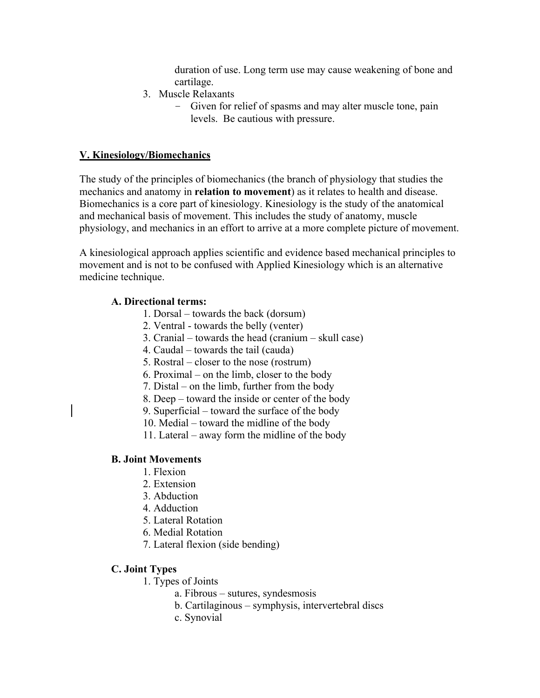duration of use. Long term use may cause weakening of bone and cartilage.

- 3. Muscle Relaxants
	- Given for relief of spasms and may alter muscle tone, pain levels. Be cautious with pressure.

## **V. Kinesiology/Biomechanics**

The study of the principles of biomechanics (the branch of physiology that studies the mechanics and anatomy in **relation to movement**) as it relates to health and disease. Biomechanics is a core part of kinesiology. Kinesiology is the study of the anatomical and mechanical basis of movement. This includes the study of anatomy, muscle physiology, and mechanics in an effort to arrive at a more complete picture of movement.

A kinesiological approach applies scientific and evidence based mechanical principles to movement and is not to be confused with Applied Kinesiology which is an alternative medicine technique.

#### **A. Directional terms:**

- 1. Dorsal towards the back (dorsum)
- 2. Ventral towards the belly (venter)
- 3. Cranial towards the head (cranium skull case)
- 4. Caudal towards the tail (cauda)
- 5. Rostral closer to the nose (rostrum)
- 6. Proximal on the limb, closer to the body
- 7. Distal on the limb, further from the body
- 8. Deep toward the inside or center of the body
- 9. Superficial toward the surface of the body
- 10. Medial toward the midline of the body
- 11. Lateral away form the midline of the body

#### **B. Joint Movements**

- 1. Flexion
- 2. Extension
- 3. Abduction
- 4. Adduction
- 5. Lateral Rotation
- 6. Medial Rotation
- 7. Lateral flexion (side bending)

## **C. Joint Types**

- 1. Types of Joints
	- a. Fibrous sutures, syndesmosis
		- b. Cartilaginous symphysis, intervertebral discs
	- c. Synovial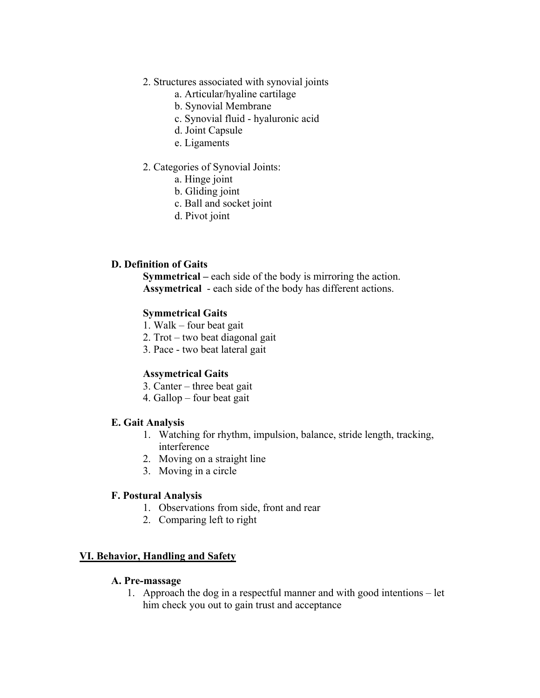- 2. Structures associated with synovial joints
	- a. Articular/hyaline cartilage
	- b. Synovial Membrane
	- c. Synovial fluid hyaluronic acid
	- d. Joint Capsule
	- e. Ligaments
- 2. Categories of Synovial Joints:
	- a. Hinge joint
	- b. Gliding joint
	- c. Ball and socket joint
	- d. Pivot joint

## **D. Definition of Gaits**

**Symmetrical –** each side of the body is mirroring the action. **Assymetrical** - each side of the body has different actions.

#### **Symmetrical Gaits**

- 1. Walk four beat gait
- 2. Trot two beat diagonal gait
- 3. Pace two beat lateral gait

#### **Assymetrical Gaits**

- 3. Canter three beat gait
- 4. Gallop four beat gait

#### **E. Gait Analysis**

- 1. Watching for rhythm, impulsion, balance, stride length, tracking, interference
- 2. Moving on a straight line
- 3. Moving in a circle

#### **F. Postural Analysis**

- 1. Observations from side, front and rear
- 2. Comparing left to right

#### **VI. Behavior, Handling and Safety**

#### **A. Pre-massage**

1. Approach the dog in a respectful manner and with good intentions – let him check you out to gain trust and acceptance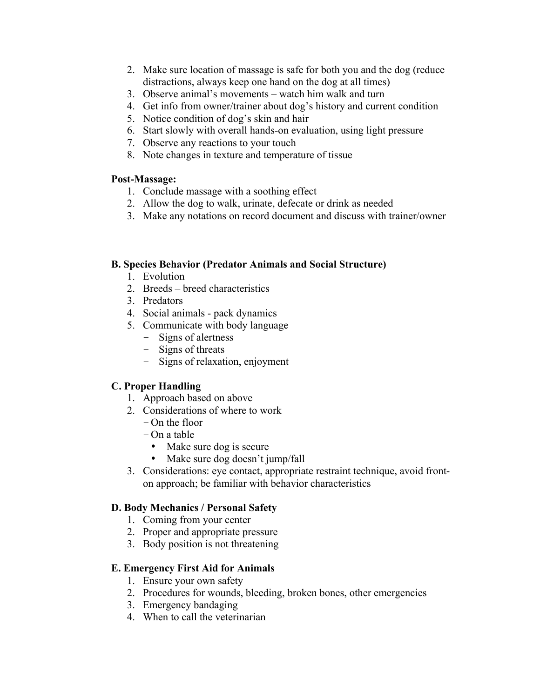- 2. Make sure location of massage is safe for both you and the dog (reduce distractions, always keep one hand on the dog at all times)
- 3. Observe animal's movements watch him walk and turn
- 4. Get info from owner/trainer about dog's history and current condition
- 5. Notice condition of dog's skin and hair
- 6. Start slowly with overall hands-on evaluation, using light pressure
- 7. Observe any reactions to your touch
- 8. Note changes in texture and temperature of tissue

## **Post-Massage:**

- 1. Conclude massage with a soothing effect
- 2. Allow the dog to walk, urinate, defecate or drink as needed
- 3. Make any notations on record document and discuss with trainer/owner

## **B. Species Behavior (Predator Animals and Social Structure)**

- 1. Evolution
- 2. Breeds breed characteristics
- 3. Predators
- 4. Social animals pack dynamics
- 5. Communicate with body language
	- Signs of alertness
	- Signs of threats
	- Signs of relaxation, enjoyment

# **C. Proper Handling**

- 1. Approach based on above
- 2. Considerations of where to work
	- On the floor
	- On a table
		- Make sure dog is secure
		- Make sure dog doesn't jump/fall
- 3. Considerations: eye contact, appropriate restraint technique, avoid fronton approach; be familiar with behavior characteristics

# **D. Body Mechanics / Personal Safety**

- 1. Coming from your center
- 2. Proper and appropriate pressure
- 3. Body position is not threatening

## **E. Emergency First Aid for Animals**

- 1. Ensure your own safety
- 2. Procedures for wounds, bleeding, broken bones, other emergencies
- 3. Emergency bandaging
- 4. When to call the veterinarian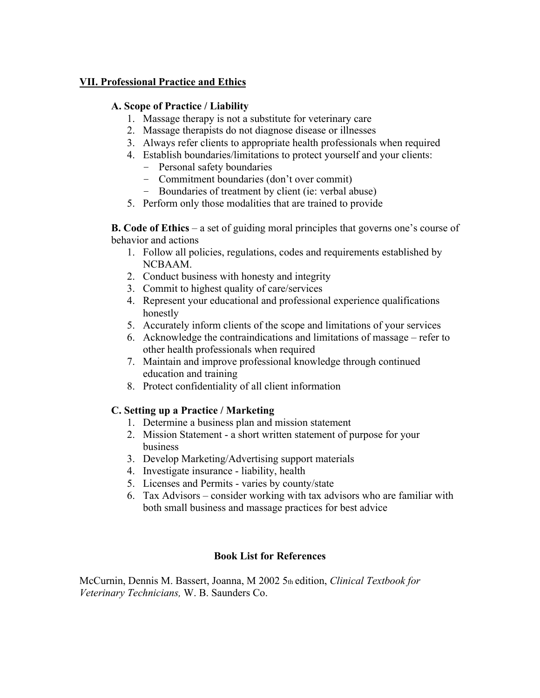# **VII. Professional Practice and Ethics**

# **A. Scope of Practice / Liability**

- 1. Massage therapy is not a substitute for veterinary care
- 2. Massage therapists do not diagnose disease or illnesses
- 3. Always refer clients to appropriate health professionals when required
- 4. Establish boundaries/limitations to protect yourself and your clients:
	- Personal safety boundaries
	- Commitment boundaries (don't over commit)
	- Boundaries of treatment by client (ie: verbal abuse)
- 5. Perform only those modalities that are trained to provide

**B. Code of Ethics** – a set of guiding moral principles that governs one's course of behavior and actions

- 1. Follow all policies, regulations, codes and requirements established by NCBAAM.
- 2. Conduct business with honesty and integrity
- 3. Commit to highest quality of care/services
- 4. Represent your educational and professional experience qualifications honestly
- 5. Accurately inform clients of the scope and limitations of your services
- 6. Acknowledge the contraindications and limitations of massage refer to other health professionals when required
- 7. Maintain and improve professional knowledge through continued education and training
- 8. Protect confidentiality of all client information

# **C. Setting up a Practice / Marketing**

- 1. Determine a business plan and mission statement
- 2. Mission Statement a short written statement of purpose for your business
- 3. Develop Marketing/Advertising support materials
- 4. Investigate insurance liability, health
- 5. Licenses and Permits varies by county/state
- 6. Tax Advisors consider working with tax advisors who are familiar with both small business and massage practices for best advice

# **Book List for References**

McCurnin, Dennis M. Bassert, Joanna, M 2002 5th edition, *Clinical Textbook for Veterinary Technicians,* W. B. Saunders Co.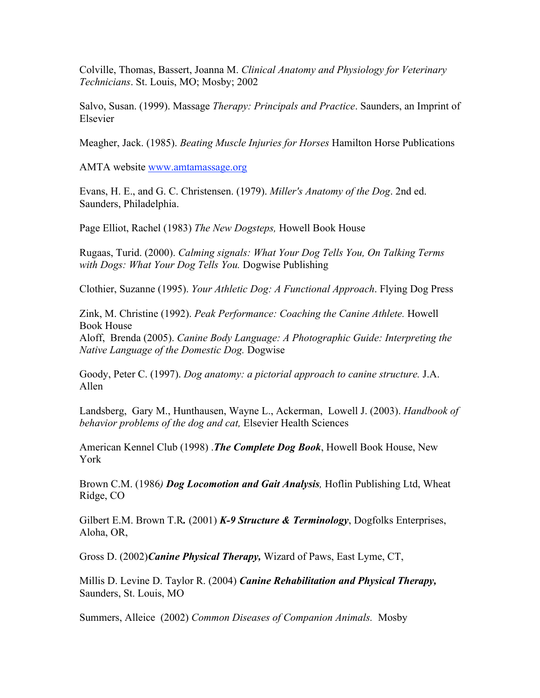Colville, Thomas, Bassert, Joanna M. *Clinical Anatomy and Physiology for Veterinary Technicians*. St. Louis, MO; Mosby; 2002

Salvo, Susan. (1999). Massage *Therapy: Principals and Practice*. Saunders, an Imprint of Elsevier

Meagher, Jack. (1985). *Beating Muscle Injuries for Horses* Hamilton Horse Publications

AMTA website www.amtamassage.org

Evans, H. E., and G. C. Christensen. (1979). *Miller's Anatomy of the Dog*. 2nd ed. Saunders, Philadelphia.

Page Elliot, Rachel (1983) *The New Dogsteps,* Howell Book House

Rugaas, Turid. (2000). *Calming signals: What Your Dog Tells You, On Talking Terms with Dogs: What Your Dog Tells You.* Dogwise Publishing

Clothier, Suzanne (1995). *Your Athletic Dog: A Functional Approach*. Flying Dog Press

Zink, M. Christine (1992). *Peak Performance: Coaching the Canine Athlete.* Howell Book House Aloff, Brenda (2005). *Canine Body Language: A Photographic Guide: Interpreting the Native Language of the Domestic Dog.* Dogwise

Goody, Peter C. (1997). *Dog anatomy: a pictorial approach to canine structure.* J.A. Allen

Landsberg, Gary M., Hunthausen, Wayne L., Ackerman, Lowell J. (2003). *Handbook of behavior problems of the dog and cat,* Elsevier Health Sciences

American Kennel Club (1998) .*The Complete Dog Book*, Howell Book House, New York

Brown C.M. (1986*) Dog Locomotion and Gait Analysis,* Hoflin Publishing Ltd, Wheat Ridge, CO

Gilbert E.M. Brown T.R*.* (2001) *K-9 Structure & Terminology*, Dogfolks Enterprises, Aloha, OR,

Gross D. (2002)*Canine Physical Therapy,* Wizard of Paws, East Lyme, CT,

Millis D. Levine D. Taylor R. (2004) *Canine Rehabilitation and Physical Therapy,* Saunders, St. Louis, MO

Summers, Alleice (2002) *Common Diseases of Companion Animals.* Mosby